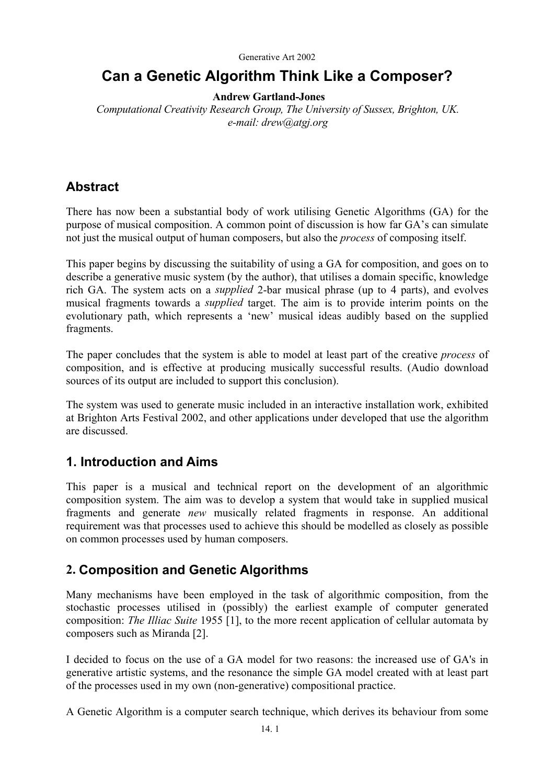# **Can a Genetic Algorithm Think Like a Composer?**

### **Andrew Gartland-Jones**

*Computational Creativity Research Group, The University of Sussex, Brighton, UK. e-mail: drew@atgj.org* 

# **Abstract**

There has now been a substantial body of work utilising Genetic Algorithms (GA) for the purpose of musical composition. A common point of discussion is how far GA's can simulate not just the musical output of human composers, but also the *process* of composing itself.

This paper begins by discussing the suitability of using a GA for composition, and goes on to describe a generative music system (by the author), that utilises a domain specific, knowledge rich GA. The system acts on a *supplied* 2-bar musical phrase (up to 4 parts), and evolves musical fragments towards a *supplied* target. The aim is to provide interim points on the evolutionary path, which represents a 'new' musical ideas audibly based on the supplied fragments.

The paper concludes that the system is able to model at least part of the creative *process* of composition, and is effective at producing musically successful results. (Audio download sources of its output are included to support this conclusion).

The system was used to generate music included in an interactive installation work, exhibited at Brighton Arts Festival 2002, and other applications under developed that use the algorithm are discussed.

# **1. Introduction and Aims**

This paper is a musical and technical report on the development of an algorithmic composition system. The aim was to develop a system that would take in supplied musical fragments and generate *new* musically related fragments in response. An additional requirement was that processes used to achieve this should be modelled as closely as possible on common processes used by human composers.

# **2. Composition and Genetic Algorithms**

Many mechanisms have been employed in the task of algorithmic composition, from the stochastic processes utilised in (possibly) the earliest example of computer generated composition: *The Illiac Suite* 1955 [1], to the more recent application of cellular automata by composers such as Miranda [2].

I decided to focus on the use of a GA model for two reasons: the increased use of GA's in generative artistic systems, and the resonance the simple GA model created with at least part of the processes used in my own (non-generative) compositional practice.

A Genetic Algorithm is a computer search technique, which derives its behaviour from some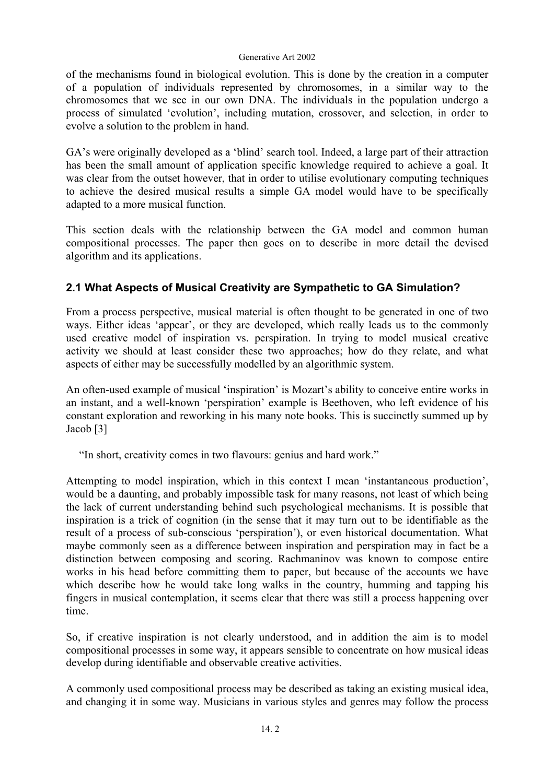of the mechanisms found in biological evolution. This is done by the creation in a computer of a population of individuals represented by chromosomes, in a similar way to the chromosomes that we see in our own DNA. The individuals in the population undergo a process of simulated 'evolution', including mutation, crossover, and selection, in order to evolve a solution to the problem in hand.

GA's were originally developed as a 'blind' search tool. Indeed, a large part of their attraction has been the small amount of application specific knowledge required to achieve a goal. It was clear from the outset however, that in order to utilise evolutionary computing techniques to achieve the desired musical results a simple GA model would have to be specifically adapted to a more musical function.

This section deals with the relationship between the GA model and common human compositional processes. The paper then goes on to describe in more detail the devised algorithm and its applications.

# **2.1 What Aspects of Musical Creativity are Sympathetic to GA Simulation?**

From a process perspective, musical material is often thought to be generated in one of two ways. Either ideas 'appear', or they are developed, which really leads us to the commonly used creative model of inspiration vs. perspiration. In trying to model musical creative activity we should at least consider these two approaches; how do they relate, and what aspects of either may be successfully modelled by an algorithmic system.

An often-used example of musical 'inspiration' is Mozart's ability to conceive entire works in an instant, and a well-known 'perspiration' example is Beethoven, who left evidence of his constant exploration and reworking in his many note books. This is succinctly summed up by Jacob [3]

"In short, creativity comes in two flavours: genius and hard work."

Attempting to model inspiration, which in this context I mean 'instantaneous production', would be a daunting, and probably impossible task for many reasons, not least of which being the lack of current understanding behind such psychological mechanisms. It is possible that inspiration is a trick of cognition (in the sense that it may turn out to be identifiable as the result of a process of sub-conscious 'perspiration'), or even historical documentation. What maybe commonly seen as a difference between inspiration and perspiration may in fact be a distinction between composing and scoring. Rachmaninov was known to compose entire works in his head before committing them to paper, but because of the accounts we have which describe how he would take long walks in the country, humming and tapping his fingers in musical contemplation, it seems clear that there was still a process happening over time.

So, if creative inspiration is not clearly understood, and in addition the aim is to model compositional processes in some way, it appears sensible to concentrate on how musical ideas develop during identifiable and observable creative activities.

A commonly used compositional process may be described as taking an existing musical idea, and changing it in some way. Musicians in various styles and genres may follow the process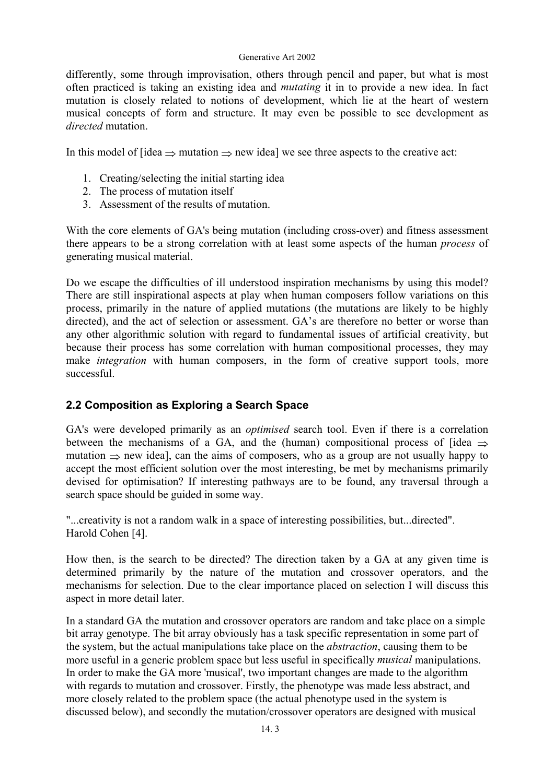differently, some through improvisation, others through pencil and paper, but what is most often practiced is taking an existing idea and *mutating* it in to provide a new idea. In fact mutation is closely related to notions of development, which lie at the heart of western musical concepts of form and structure. It may even be possible to see development as *directed* mutation.

In this model of  $\lceil$ idea  $\Rightarrow$  mutation  $\Rightarrow$  new idea] we see three aspects to the creative act:

- 1. Creating/selecting the initial starting idea
- 2. The process of mutation itself
- 3. Assessment of the results of mutation.

With the core elements of GA's being mutation (including cross-over) and fitness assessment there appears to be a strong correlation with at least some aspects of the human *process* of generating musical material.

Do we escape the difficulties of ill understood inspiration mechanisms by using this model? There are still inspirational aspects at play when human composers follow variations on this process, primarily in the nature of applied mutations (the mutations are likely to be highly directed), and the act of selection or assessment. GA's are therefore no better or worse than any other algorithmic solution with regard to fundamental issues of artificial creativity, but because their process has some correlation with human compositional processes, they may make *integration* with human composers, in the form of creative support tools, more successful.

## **2.2 Composition as Exploring a Search Space**

GA's were developed primarily as an *optimised* search tool. Even if there is a correlation between the mechanisms of a GA, and the (human) compositional process of [idea  $\Rightarrow$ mutation  $\Rightarrow$  new idea], can the aims of composers, who as a group are not usually happy to accept the most efficient solution over the most interesting, be met by mechanisms primarily devised for optimisation? If interesting pathways are to be found, any traversal through a search space should be guided in some way.

"...creativity is not a random walk in a space of interesting possibilities, but...directed". Harold Cohen [4].

How then, is the search to be directed? The direction taken by a GA at any given time is determined primarily by the nature of the mutation and crossover operators, and the mechanisms for selection. Due to the clear importance placed on selection I will discuss this aspect in more detail later.

In a standard GA the mutation and crossover operators are random and take place on a simple bit array genotype. The bit array obviously has a task specific representation in some part of the system, but the actual manipulations take place on the *abstraction*, causing them to be more useful in a generic problem space but less useful in specifically *musical* manipulations. In order to make the GA more 'musical', two important changes are made to the algorithm with regards to mutation and crossover. Firstly, the phenotype was made less abstract, and more closely related to the problem space (the actual phenotype used in the system is discussed below), and secondly the mutation/crossover operators are designed with musical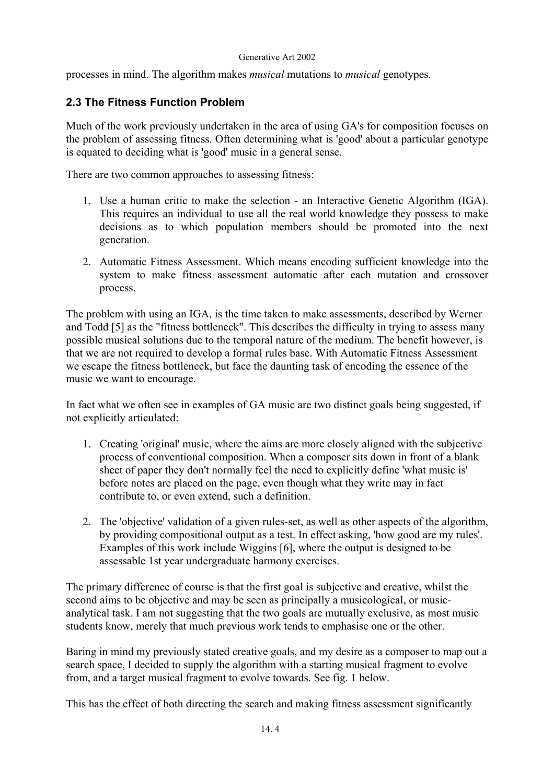processes in mind. The algorithm makes *musical* mutations to *musical* genotypes.

## **2.3 The Fitness Function Problem**

Much of the work previously undertaken in the area of using GA's for composition focuses on the problem of assessing fitness. Often determining what is 'good' about a particular genotype is equated to deciding what is 'good' music in a general sense.

There are two common approaches to assessing fitness:

- 1. Use a human critic to make the selection an Interactive Genetic Algorithm (IGA). This requires an individual to use all the real world knowledge they possess to make decisions as to which population members should be promoted into the next generation.
- 2. Automatic Fitness Assessment. Which means encoding sufficient knowledge into the system to make fitness assessment automatic after each mutation and crossover process.

The problem with using an IGA, is the time taken to make assessments, described by Werner and Todd [5] as the "fitness bottleneck". This describes the difficulty in trying to assess many possible musical solutions due to the temporal nature of the medium. The benefit however, is that we are not required to develop a formal rules base. With Automatic Fitness Assessment we escape the fitness bottleneck, but face the daunting task of encoding the essence of the music we want to encourage.

In fact what we often see in examples of GA music are two distinct goals being suggested, if not explicitly articulated:

- 1. Creating 'original' music, where the aims are more closely aligned with the subjective process of conventional composition. When a composer sits down in front of a blank sheet of paper they don't normally feel the need to explicitly define 'what music is' before notes are placed on the page, even though what they write may in fact contribute to, or even extend, such a definition.
- 2. The 'objective' validation of a given rules-set, as well as other aspects of the algorithm, by providing compositional output as a test. In effect asking, 'how good are my rules'. Examples of this work include Wiggins [6], where the output is designed to be assessable 1st year undergraduate harmony exercises.

The primary difference of course is that the first goal is subjective and creative, whilst the second aims to be objective and may be seen as principally a musicological, or musicanalytical task. I am not suggesting that the two goals are mutually exclusive, as most music students know, merely that much previous work tends to emphasise one or the other.

Baring in mind my previously stated creative goals, and my desire as a composer to map out a search space, I decided to supply the algorithm with a starting musical fragment to evolve from, and a target musical fragment to evolve towards. See fig. 1 below.

This has the effect of both directing the search and making fitness assessment significantly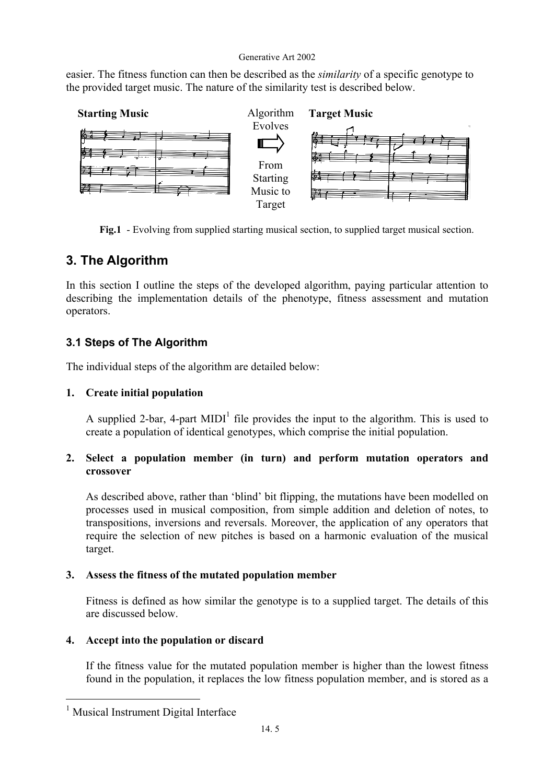easier. The fitness function can then be described as the *similarity* of a specific genotype to the provided target music. The nature of the similarity test is described below.



**Fig.1** - Evolving from supplied starting musical section, to supplied target musical section.

# **3. The Algorithm**

In this section I outline the steps of the developed algorithm, paying particular attention to describing the implementation details of the phenotype, fitness assessment and mutation operators.

# **3.1 Steps of The Algorithm**

The individual steps of the algorithm are detailed below:

## **1. Create initial population**

A supplied 2-bar, 4-part MIDI<sup>[1](#page-4-0)</sup> file provides the input to the algorithm. This is used to create a population of identical genotypes, which comprise the initial population.

## **2. Select a population member (in turn) and perform mutation operators and crossover**

As described above, rather than 'blind' bit flipping, the mutations have been modelled on processes used in musical composition, from simple addition and deletion of notes, to transpositions, inversions and reversals. Moreover, the application of any operators that require the selection of new pitches is based on a harmonic evaluation of the musical target.

## **3. Assess the fitness of the mutated population member**

Fitness is defined as how similar the genotype is to a supplied target. The details of this are discussed below.

## **4. Accept into the population or discard**

If the fitness value for the mutated population member is higher than the lowest fitness found in the population, it replaces the low fitness population member, and is stored as a

<span id="page-4-0"></span><sup>1</sup> Musical Instrument Digital Interface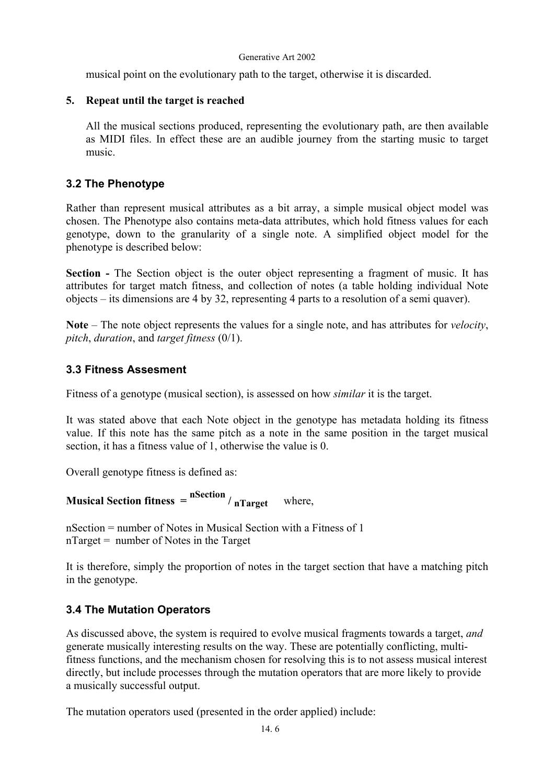musical point on the evolutionary path to the target, otherwise it is discarded.

### **5. Repeat until the target is reached**

All the musical sections produced, representing the evolutionary path, are then available as MIDI files. In effect these are an audible journey from the starting music to target music.

## **3.2 The Phenotype**

Rather than represent musical attributes as a bit array, a simple musical object model was chosen. The Phenotype also contains meta-data attributes, which hold fitness values for each genotype, down to the granularity of a single note. A simplified object model for the phenotype is described below:

**Section -** The Section object is the outer object representing a fragment of music. It has attributes for target match fitness, and collection of notes (a table holding individual Note objects – its dimensions are 4 by 32, representing 4 parts to a resolution of a semi quaver).

**Note** – The note object represents the values for a single note, and has attributes for *velocity*, *pitch*, *duration*, and *target fitness* (0/1).

### **3.3 Fitness Assesment**

Fitness of a genotype (musical section), is assessed on how *similar* it is the target.

It was stated above that each Note object in the genotype has metadata holding its fitness value. If this note has the same pitch as a note in the same position in the target musical section, it has a fitness value of 1, otherwise the value is 0.

Overall genotype fitness is defined as:

**Musical Section fitness =**  $\frac{n\text{Section}}{n\text{Target}}$  where,

nSection = number of Notes in Musical Section with a Fitness of 1 nTarget = number of Notes in the Target

It is therefore, simply the proportion of notes in the target section that have a matching pitch in the genotype.

## **3.4 The Mutation Operators**

As discussed above, the system is required to evolve musical fragments towards a target, *and* generate musically interesting results on the way. These are potentially conflicting, multifitness functions, and the mechanism chosen for resolving this is to not assess musical interest directly, but include processes through the mutation operators that are more likely to provide a musically successful output.

The mutation operators used (presented in the order applied) include: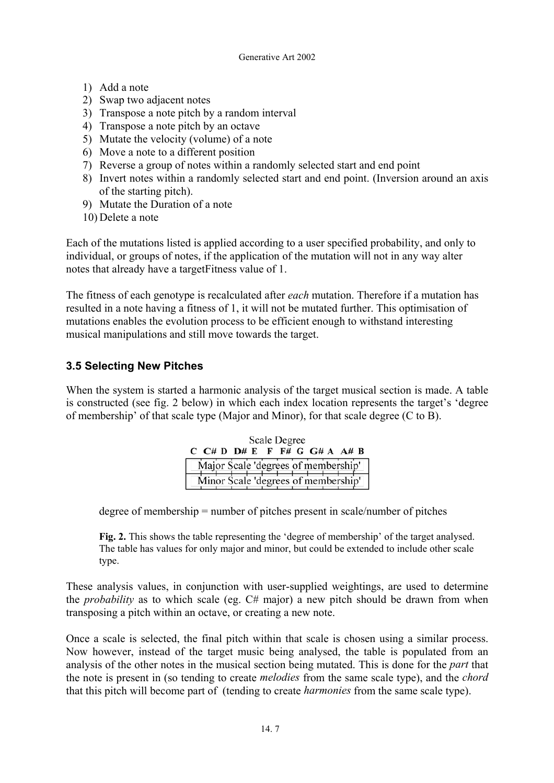- 1) Add a note
- 2) Swap two adjacent notes
- 3) Transpose a note pitch by a random interval
- 4) Transpose a note pitch by an octave
- 5) Mutate the velocity (volume) of a note
- 6) Move a note to a different position
- 7) Reverse a group of notes within a randomly selected start and end point
- 8) Invert notes within a randomly selected start and end point. (Inversion around an axis of the starting pitch).
- 9) Mutate the Duration of a note
- 10) Delete a note

Each of the mutations listed is applied according to a user specified probability, and only to individual, or groups of notes, if the application of the mutation will not in any way alter notes that already have a targetFitness value of 1.

The fitness of each genotype is recalculated after *each* mutation. Therefore if a mutation has resulted in a note having a fitness of 1, it will not be mutated further. This optimisation of mutations enables the evolution process to be efficient enough to withstand interesting musical manipulations and still move towards the target.

# **3.5 Selecting New Pitches**

When the system is started a harmonic analysis of the target musical section is made. A table is constructed (see fig. 2 below) in which each index location represents the target's 'degree of membership' of that scale type (Major and Minor), for that scale degree (C to B).

| <b>Scale Degree</b>                 |  |  |  |  |  |  |  |  |  |                                            |  |
|-------------------------------------|--|--|--|--|--|--|--|--|--|--------------------------------------------|--|
|                                     |  |  |  |  |  |  |  |  |  | $C$ $C# D$ $D# E$ $F$ $F# G$ $G# A$ $A# B$ |  |
| Major Scale 'degrees of membership' |  |  |  |  |  |  |  |  |  |                                            |  |
|                                     |  |  |  |  |  |  |  |  |  | Minor Scale 'degrees of membership'        |  |

degree of membership = number of pitches present in scale/number of pitches

**Fig. 2.** This shows the table representing the 'degree of membership' of the target analysed. The table has values for only major and minor, but could be extended to include other scale type.

These analysis values, in conjunction with user-supplied weightings, are used to determine the *probability* as to which scale (eg. C# major) a new pitch should be drawn from when transposing a pitch within an octave, or creating a new note.

Once a scale is selected, the final pitch within that scale is chosen using a similar process. Now however, instead of the target music being analysed, the table is populated from an analysis of the other notes in the musical section being mutated. This is done for the *part* that the note is present in (so tending to create *melodies* from the same scale type), and the *chord* that this pitch will become part of (tending to create *harmonies* from the same scale type).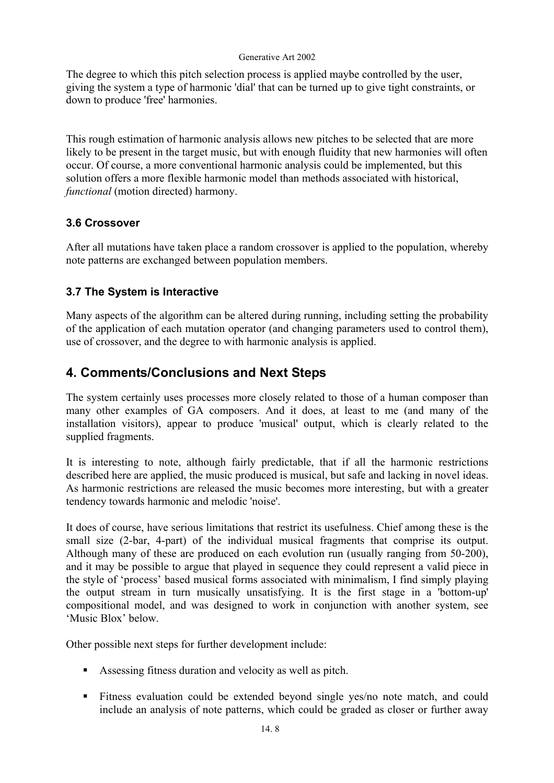The degree to which this pitch selection process is applied maybe controlled by the user, giving the system a type of harmonic 'dial' that can be turned up to give tight constraints, or down to produce 'free' harmonies.

This rough estimation of harmonic analysis allows new pitches to be selected that are more likely to be present in the target music, but with enough fluidity that new harmonies will often occur. Of course, a more conventional harmonic analysis could be implemented, but this solution offers a more flexible harmonic model than methods associated with historical, *functional* (motion directed) harmony.

# **3.6 Crossover**

After all mutations have taken place a random crossover is applied to the population, whereby note patterns are exchanged between population members.

# **3.7 The System is Interactive**

Many aspects of the algorithm can be altered during running, including setting the probability of the application of each mutation operator (and changing parameters used to control them), use of crossover, and the degree to with harmonic analysis is applied.

# **4. Comments/Conclusions and Next Steps**

The system certainly uses processes more closely related to those of a human composer than many other examples of GA composers. And it does, at least to me (and many of the installation visitors), appear to produce 'musical' output, which is clearly related to the supplied fragments.

It is interesting to note, although fairly predictable, that if all the harmonic restrictions described here are applied, the music produced is musical, but safe and lacking in novel ideas. As harmonic restrictions are released the music becomes more interesting, but with a greater tendency towards harmonic and melodic 'noise'.

It does of course, have serious limitations that restrict its usefulness. Chief among these is the small size (2-bar, 4-part) of the individual musical fragments that comprise its output. Although many of these are produced on each evolution run (usually ranging from 50-200), and it may be possible to argue that played in sequence they could represent a valid piece in the style of 'process' based musical forms associated with minimalism, I find simply playing the output stream in turn musically unsatisfying. It is the first stage in a 'bottom-up' compositional model, and was designed to work in conjunction with another system, see 'Music Blox' below.

Other possible next steps for further development include:

- Assessing fitness duration and velocity as well as pitch.
- Fitness evaluation could be extended beyond single yes/no note match, and could include an analysis of note patterns, which could be graded as closer or further away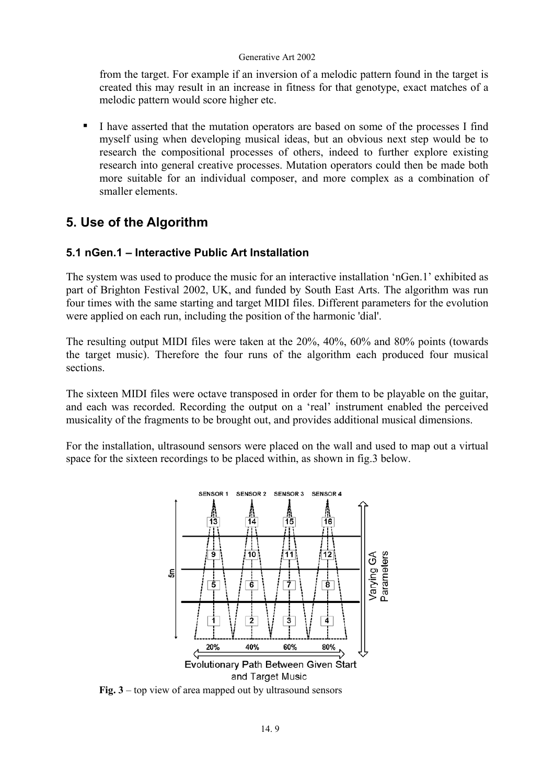from the target. For example if an inversion of a melodic pattern found in the target is created this may result in an increase in fitness for that genotype, exact matches of a melodic pattern would score higher etc.

I have asserted that the mutation operators are based on some of the processes I find myself using when developing musical ideas, but an obvious next step would be to research the compositional processes of others, indeed to further explore existing research into general creative processes. Mutation operators could then be made both more suitable for an individual composer, and more complex as a combination of smaller elements.

# **5. Use of the Algorithm**

## **5.1 nGen.1 – Interactive Public Art Installation**

The system was used to produce the music for an interactive installation 'nGen.1' exhibited as part of Brighton Festival 2002, UK, and funded by South East Arts. The algorithm was run four times with the same starting and target MIDI files. Different parameters for the evolution were applied on each run, including the position of the harmonic 'dial'.

The resulting output MIDI files were taken at the 20%, 40%, 60% and 80% points (towards the target music). Therefore the four runs of the algorithm each produced four musical sections.

The sixteen MIDI files were octave transposed in order for them to be playable on the guitar, and each was recorded. Recording the output on a 'real' instrument enabled the perceived musicality of the fragments to be brought out, and provides additional musical dimensions.

For the installation, ultrasound sensors were placed on the wall and used to map out a virtual space for the sixteen recordings to be placed within, as shown in fig.3 below.



**Fig. 3** – top view of area mapped out by ultrasound sensors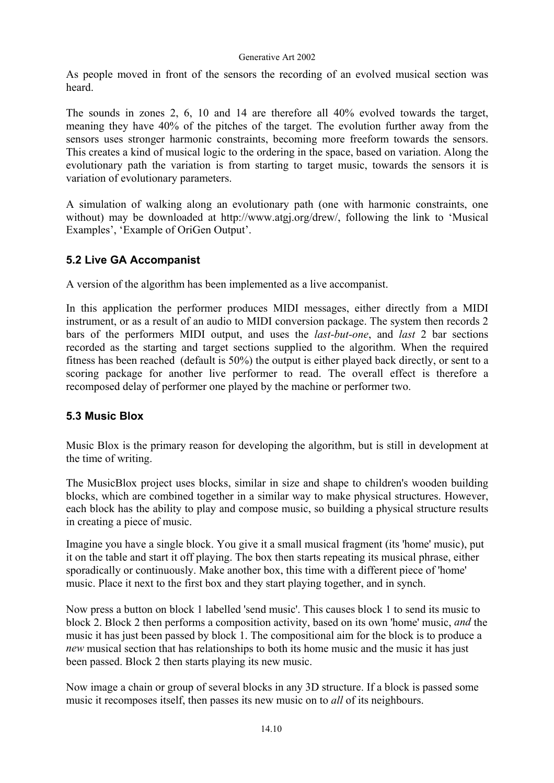As people moved in front of the sensors the recording of an evolved musical section was heard.

The sounds in zones 2, 6, 10 and 14 are therefore all 40% evolved towards the target, meaning they have 40% of the pitches of the target. The evolution further away from the sensors uses stronger harmonic constraints, becoming more freeform towards the sensors. This creates a kind of musical logic to the ordering in the space, based on variation. Along the evolutionary path the variation is from starting to target music, towards the sensors it is variation of evolutionary parameters.

A simulation of walking along an evolutionary path (one with harmonic constraints, one without) may be downloaded at http://www.atgj.org/drew/, following the link to 'Musical Examples', 'Example of OriGen Output'.

# **5.2 Live GA Accompanist**

A version of the algorithm has been implemented as a live accompanist.

In this application the performer produces MIDI messages, either directly from a MIDI instrument, or as a result of an audio to MIDI conversion package. The system then records 2 bars of the performers MIDI output, and uses the *last-but-one*, and *last* 2 bar sections recorded as the starting and target sections supplied to the algorithm. When the required fitness has been reached (default is 50%) the output is either played back directly, or sent to a scoring package for another live performer to read. The overall effect is therefore a recomposed delay of performer one played by the machine or performer two.

## **5.3 Music Blox**

Music Blox is the primary reason for developing the algorithm, but is still in development at the time of writing.

The MusicBlox project uses blocks, similar in size and shape to children's wooden building blocks, which are combined together in a similar way to make physical structures. However, each block has the ability to play and compose music, so building a physical structure results in creating a piece of music.

Imagine you have a single block. You give it a small musical fragment (its 'home' music), put it on the table and start it off playing. The box then starts repeating its musical phrase, either sporadically or continuously. Make another box, this time with a different piece of 'home' music. Place it next to the first box and they start playing together, and in synch.

Now press a button on block 1 labelled 'send music'. This causes block 1 to send its music to block 2. Block 2 then performs a composition activity, based on its own 'home' music, *and* the music it has just been passed by block 1. The compositional aim for the block is to produce a *new* musical section that has relationships to both its home music and the music it has just been passed. Block 2 then starts playing its new music.

Now image a chain or group of several blocks in any 3D structure. If a block is passed some music it recomposes itself, then passes its new music on to *all* of its neighbours.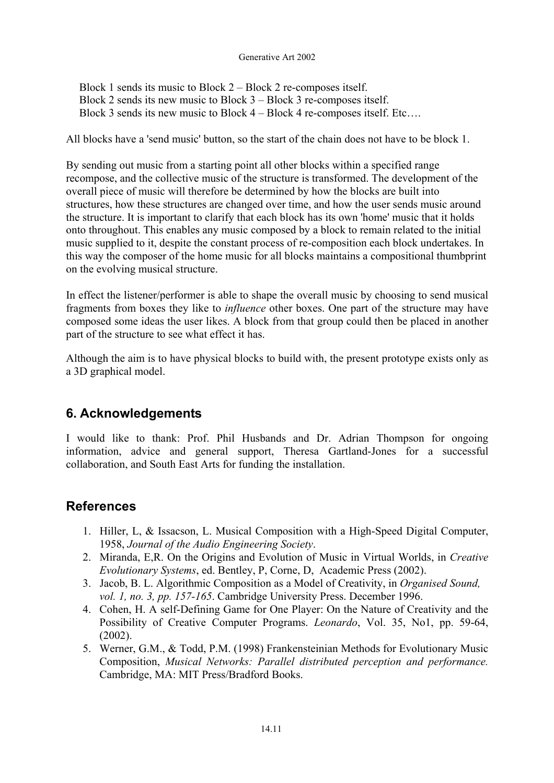Block 1 sends its music to Block 2 – Block 2 re-composes itself. Block 2 sends its new music to Block 3 – Block 3 re-composes itself. Block 3 sends its new music to Block 4 – Block 4 re-composes itself. Etc….

All blocks have a 'send music' button, so the start of the chain does not have to be block 1.

By sending out music from a starting point all other blocks within a specified range recompose, and the collective music of the structure is transformed. The development of the overall piece of music will therefore be determined by how the blocks are built into structures, how these structures are changed over time, and how the user sends music around the structure. It is important to clarify that each block has its own 'home' music that it holds onto throughout. This enables any music composed by a block to remain related to the initial music supplied to it, despite the constant process of re-composition each block undertakes. In this way the composer of the home music for all blocks maintains a compositional thumbprint on the evolving musical structure.

In effect the listener/performer is able to shape the overall music by choosing to send musical fragments from boxes they like to *influence* other boxes. One part of the structure may have composed some ideas the user likes. A block from that group could then be placed in another part of the structure to see what effect it has.

Although the aim is to have physical blocks to build with, the present prototype exists only as a 3D graphical model.

# **6. Acknowledgements**

I would like to thank: Prof. Phil Husbands and Dr. Adrian Thompson for ongoing information, advice and general support, Theresa Gartland-Jones for a successful collaboration, and South East Arts for funding the installation.

# **References**

- 1. Hiller, L, & Issacson, L. Musical Composition with a High-Speed Digital Computer, 1958, *Journal of the Audio Engineering Society*.
- 2. Miranda, E,R. On the Origins and Evolution of Music in Virtual Worlds, in *Creative Evolutionary Systems*, ed. Bentley, P, Corne, D, Academic Press (2002).
- 3. Jacob, B. L. Algorithmic Composition as a Model of Creativity, in *Organised Sound, vol. 1, no. 3, pp. 157-165*. Cambridge University Press. December 1996.
- 4. Cohen, H. A self-Defining Game for One Player: On the Nature of Creativity and the Possibility of Creative Computer Programs. *Leonardo*, Vol. 35, No1, pp. 59-64, (2002).
- 5. Werner, G.M., & Todd, P.M. (1998) Frankensteinian Methods for Evolutionary Music Composition, *Musical Networks: Parallel distributed perception and performance.* Cambridge, MA: MIT Press/Bradford Books.